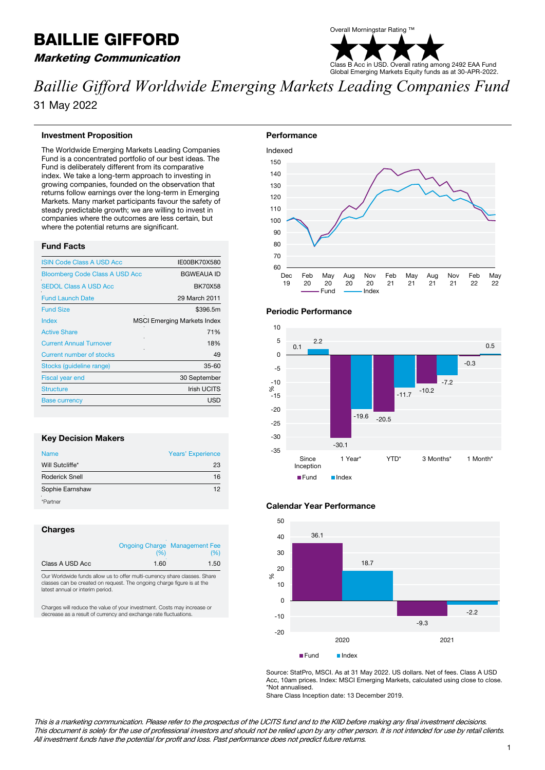# BAILLIE GIFFORD

# Marketing Communication



*Baillie Gifford Worldwide Emerging Markets Leading Companies Fund* 31 May 2022

#### **Investment Proposition**

The Worldwide Emerging Markets Leading Companies Fund is a concentrated portfolio of our best ideas. The Fund is deliberately different from its comparative index. We take a long-term approach to investing in growing companies, founded on the observation that returns follow earnings over the long-term in Emerging Markets. Many market participants favour the safety of steady predictable growth; we are willing to invest in companies where the outcomes are less certain, but where the potential returns are significant.

# **Fund Facts**

| <b>ISIN Code Class A USD Acc</b>      | IE00BK70X580                       |
|---------------------------------------|------------------------------------|
| <b>Bloomberg Code Class A USD Acc</b> | <b>BGWEAUA ID</b>                  |
| <b>SEDOL Class A USD Acc</b>          | <b>BK70X58</b>                     |
| <b>Fund Launch Date</b>               | 29 March 2011                      |
| <b>Fund Size</b>                      | \$396.5m                           |
| Index                                 | <b>MSCI Emerging Markets Index</b> |
| <b>Active Share</b>                   | 71%                                |
| <b>Current Annual Turnover</b>        | 18%                                |
| <b>Current number of stocks</b>       | 49                                 |
| Stocks (guideline range)              | $35 - 60$                          |
| <b>Fiscal year end</b>                | 30 September                       |
| <b>Structure</b>                      | <b>Irish UCITS</b>                 |
| <b>Base currency</b>                  | <b>USD</b>                         |
|                                       |                                    |

# **Key Decision Makers**

| <b>Name</b>           | <b>Years' Experience</b> |
|-----------------------|--------------------------|
| Will Sutcliffe*       | 23                       |
| <b>Roderick Snell</b> | 16                       |
| Sophie Earnshaw       | 12                       |
| *Partner              |                          |

#### **Charges**

|                 | (%)  | <b>Ongoing Charge Management Fee</b><br>(%) |
|-----------------|------|---------------------------------------------|
| Class A USD Acc | 1.60 | 1.50                                        |

Our Worldwide funds allow us to offer multi-currency share classes. Share ses can be created on request. The ongoing charge figure is at the latest annual or interim period.

Charges will reduce the value of your investment. Costs may increase or decrease as a result of currency and exchange rate fluctuations.





#### **Calendar Year Performance**



Source: StatPro, MSCI. As at 31 May 2022. US dollars. Net of fees. Class A USD Acc, 10am prices. Index: MSCI Emerging Markets, calculated using close to close. \*Not annualised.

Share Class Inception date: 13 December 2019.

This is a marketing communication. Please refer to the prospectus of the UCITS fund and to the KIID before making any final investment decisions. This document is solely for the use of professional investors and should not be relied upon by any other person. It is not intended for use by retail clients. All investment funds have the potential for profit and loss. Past performance does not predict future returns.

# **Periodic Performance**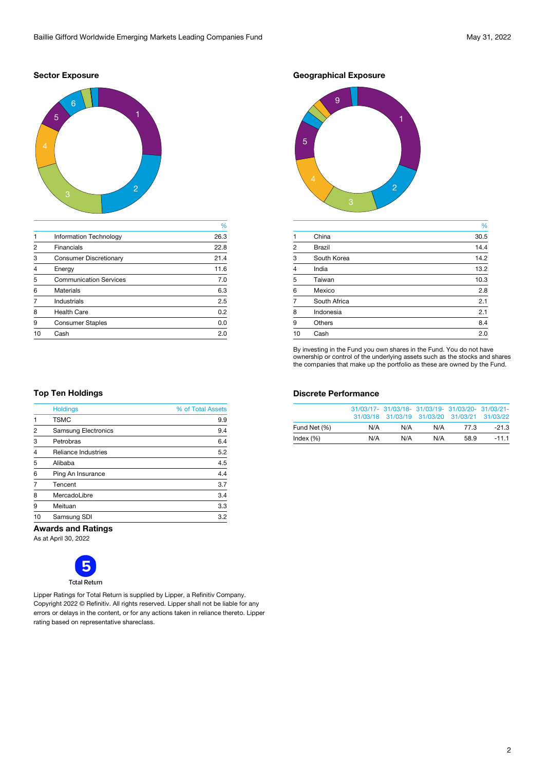# **Sector Exposure**



|                |                               | %    |
|----------------|-------------------------------|------|
|                | <b>Information Technology</b> | 26.3 |
| $\mathfrak{p}$ | <b>Financials</b>             | 22.8 |
| 3              | <b>Consumer Discretionary</b> | 21.4 |
| $\overline{4}$ | Energy                        | 11.6 |
| 5              | <b>Communication Services</b> | 7.0  |
| 6              | <b>Materials</b>              | 6.3  |
|                | <b>Industrials</b>            | 2.5  |
| 8              | <b>Health Care</b>            | 0.2  |
| 9              | <b>Consumer Staples</b>       | 0.0  |
| 10             | Cash                          | 2.0  |
|                |                               |      |

**Geographical Exposure**



|                |               | %    |
|----------------|---------------|------|
| $\mathbf 1$    | China         | 30.5 |
| $\overline{2}$ | <b>Brazil</b> | 14.4 |
| 3              | South Korea   | 14.2 |
| $\overline{4}$ | India         | 13.2 |
| 5              | Taiwan        | 10.3 |
| 6              | Mexico        | 2.8  |
| 7              | South Africa  | 2.1  |
| 8              | Indonesia     | 2.1  |
| 9              | <b>Others</b> | 8.4  |
| 10             | Cash          | 2.0  |

By investing in the Fund you own shares in the Fund. You do not have ownership or control of the underlying assets such as the stocks and shares the companies that make up the portfolio as these are owned by the Fund.

## **Discrete Performance**

|              |     | 31/03/17- 31/03/18- 31/03/19- 31/03/20- 31/03/21-<br>31/03/18 31/03/19 31/03/20 31/03/21 31/03/22 |     |      |         |
|--------------|-----|---------------------------------------------------------------------------------------------------|-----|------|---------|
| Fund Net (%) | N/A | N/A                                                                                               | N/A | 77.3 | $-21.3$ |
| Index $(\%)$ | N/A | N/A                                                                                               | N/A | 58.9 | $-11.1$ |

# **Top Ten Holdings**

|                | <b>Holdings</b>            | % of Total Assets |
|----------------|----------------------------|-------------------|
|                | <b>TSMC</b>                | 9.9               |
| 2              | <b>Samsung Electronics</b> | 9.4               |
| 3              | Petrobras                  | 6.4               |
| $\overline{4}$ | <b>Reliance Industries</b> | 5.2               |
| 5              | Alibaba                    | 4.5               |
| 6              | Ping An Insurance          | 4.4               |
| $\overline{7}$ | Tencent                    | 3.7               |
| 8              | MercadoLibre               | 3.4               |
| 9              | Meituan                    | 3.3               |
| 10             | Samsung SDI                | 3.2               |

#### **Awards and Ratings**

As at April 30, 2022



Lipper Ratings for Total Return is supplied by Lipper, a Refinitiv Company. Copyright 2022 © Refinitiv. All rights reserved. Lipper shall not be liable for any errors or delays in the content, or for any actions taken in reliance thereto. Lipper rating based on representative shareclass.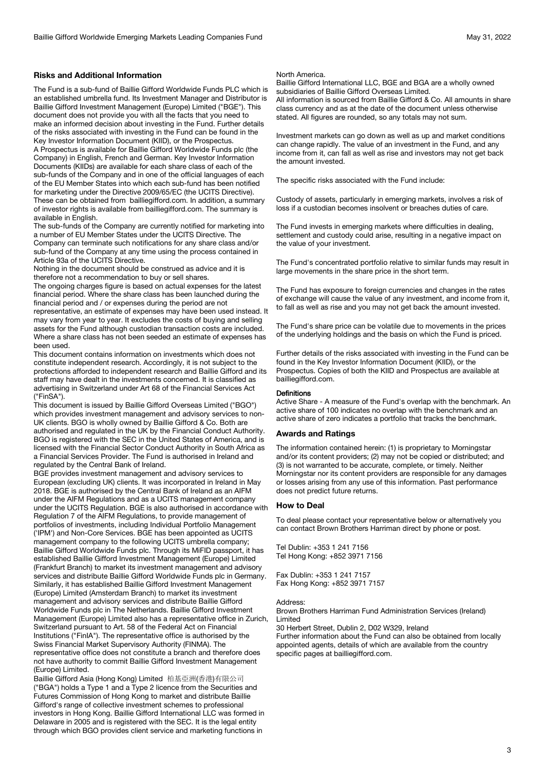# **Risks and Additional Information**

The Fund is a sub-fund of Baillie Gifford Worldwide Funds PLC which is an established umbrella fund. Its Investment Manager and Distributor is Baillie Gifford Investment Management (Europe) Limited ("BGE"). This document does not provide you with all the facts that you need to make an informed decision about investing in the Fund. Further details of the risks associated with investing in the Fund can be found in the Key Investor Information Document (KIID), or the Prospectus.

A Prospectus is available for Baillie Gifford Worldwide Funds plc (the Company) in English, French and German. Key Investor Information Documents (KIIDs) are available for each share class of each of the sub-funds of the Company and in one of the official languages of each of the EU Member States into which each sub-fund has been notified for marketing under the Directive 2009/65/EC (the UCITS Directive). These can be obtained from bailliegifford.com. In addition, a summary of investor rights is available from bailliegifford.com. The summary is available in English.

The sub-funds of the Company are currently notified for marketing into a number of EU Member States under the UCITS Directive. The Company can terminate such notifications for any share class and/or sub-fund of the Company at any time using the process contained in Article 93a of the UCITS Directive.

Nothing in the document should be construed as advice and it is therefore not a recommendation to buy or sell shares.

The ongoing charges figure is based on actual expenses for the latest financial period. Where the share class has been launched during the financial period and / or expenses during the period are not representative, an estimate of expenses may have been used instead. It may vary from year to year. It excludes the costs of buying and selling

assets for the Fund although custodian transaction costs are included. Where a share class has not been seeded an estimate of expenses has been used.

This document contains information on investments which does not constitute independent research. Accordingly, it is not subject to the protections afforded to independent research and Baillie Gifford and its staff may have dealt in the investments concerned. It is classified as advertising in Switzerland under Art 68 of the Financial Services Act ("FinSA").

This document is issued by Baillie Gifford Overseas Limited ("BGO") which provides investment management and advisory services to non-UK clients. BGO is wholly owned by Baillie Gifford & Co. Both are authorised and regulated in the UK by the Financial Conduct Authority. BGO is registered with the SEC in the United States of America, and is licensed with the Financial Sector Conduct Authority in South Africa as a Financial Services Provider. The Fund is authorised in Ireland and regulated by the Central Bank of Ireland.

BGE provides investment management and advisory services to European (excluding UK) clients. It was incorporated in Ireland in May 2018. BGE is authorised by the Central Bank of Ireland as an AIFM under the AIFM Regulations and as a UCITS management company under the UCITS Regulation. BGE is also authorised in accordance with Regulation 7 of the AIFM Regulations, to provide management of portfolios of investments, including Individual Portfolio Management ('IPM') and Non-Core Services. BGE has been appointed as UCITS management company to the following UCITS umbrella company; Baillie Gifford Worldwide Funds plc. Through its MiFID passport, it has established Baillie Gifford Investment Management (Europe) Limited (Frankfurt Branch) to market its investment management and advisory services and distribute Baillie Gifford Worldwide Funds plc in Germany. Similarly, it has established Baillie Gifford Investment Management (Europe) Limited (Amsterdam Branch) to market its investment management and advisory services and distribute Baillie Gifford Worldwide Funds plc in The Netherlands. Baillie Gifford Investment Management (Europe) Limited also has a representative office in Zurich, Switzerland pursuant to Art. 58 of the Federal Act on Financial Institutions ("FinIA"). The representative office is authorised by the Swiss Financial Market Supervisory Authority (FINMA). The representative office does not constitute a branch and therefore does not have authority to commit Baillie Gifford Investment Management (Europe) Limited.

Baillie Gifford Asia (Hong Kong) Limited 柏基亞洲(香港)有限公司 ("BGA") holds a Type 1 and a Type 2 licence from the Securities and Futures Commission of Hong Kong to market and distribute Baillie Gifford's range of collective investment schemes to professional investors in Hong Kong. Baillie Gifford International LLC was formed in Delaware in 2005 and is registered with the SEC. It is the legal entity through which BGO provides client service and marketing functions in

#### North America.

Baillie Gifford International LLC, BGE and BGA are a wholly owned subsidiaries of Baillie Gifford Overseas Limited. All information is sourced from Baillie Gifford & Co. All amounts in share

class currency and as at the date of the document unless otherwise stated. All figures are rounded, so any totals may not sum.

Investment markets can go down as well as up and market conditions can change rapidly. The value of an investment in the Fund, and any income from it, can fall as well as rise and investors may not get back the amount invested.

The specific risks associated with the Fund include:

Custody of assets, particularly in emerging markets, involves a risk of loss if a custodian becomes insolvent or breaches duties of care.

The Fund invests in emerging markets where difficulties in dealing, settlement and custody could arise, resulting in a negative impact on the value of your investment.

The Fund's concentrated portfolio relative to similar funds may result in large movements in the share price in the short term.

The Fund has exposure to foreign currencies and changes in the rates of exchange will cause the value of any investment, and income from it, to fall as well as rise and you may not get back the amount invested.

The Fund's share price can be volatile due to movements in the prices of the underlying holdings and the basis on which the Fund is priced.

Further details of the risks associated with investing in the Fund can be found in the Key Investor Information Document (KIID), or the Prospectus. Copies of both the KIID and Prospectus are available at bailliegifford.com.

#### **Definitions**

Active Share - A measure of the Fund's overlap with the benchmark. An active share of 100 indicates no overlap with the benchmark and an active share of zero indicates a portfolio that tracks the benchmark.

#### **Awards and Ratings**

The information contained herein: (1) is proprietary to Morningstar and/or its content providers; (2) may not be copied or distributed; and (3) is not warranted to be accurate, complete, or timely. Neither Morningstar nor its content providers are responsible for any damages or losses arising from any use of this information. Past performance does not predict future returns.

#### **How to Deal**

To deal please contact your representative below or alternatively you can contact Brown Brothers Harriman direct by phone or post.

Tel Dublin: +353 1 241 7156 Tel Hong Kong: +852 3971 7156

Fax Dublin: +353 1 241 7157 Fax Hong Kong: +852 3971 7157

#### Address:

Brown Brothers Harriman Fund Administration Services (Ireland) Limited

30 Herbert Street, Dublin 2, D02 W329, Ireland

Further information about the Fund can also be obtained from locally appointed agents, details of which are available from the country specific pages at bailliegifford.com.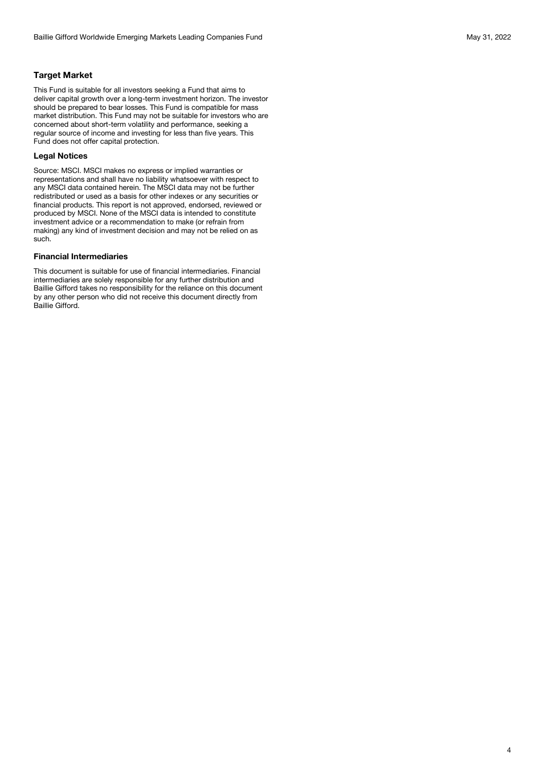# **Target Market**

This Fund is suitable for all investors seeking a Fund that aims to deliver capital growth over a long-term investment horizon. The investor should be prepared to bear losses. This Fund is compatible for mass market distribution. This Fund may not be suitable for investors who are concerned about short-term volatility and performance, seeking a regular source of income and investing for less than five years. This Fund does not offer capital protection.

#### **Legal Notices**

Source: MSCI. MSCI makes no express or implied warranties or representations and shall have no liability whatsoever with respect to any MSCI data contained herein. The MSCI data may not be further redistributed or used as a basis for other indexes or any securities or financial products. This report is not approved, endorsed, reviewed or produced by MSCI. None of the MSCI data is intended to constitute investment advice or a recommendation to make (or refrain from making) any kind of investment decision and may not be relied on as such.

# **Financial Intermediaries**

This document is suitable for use of financial intermediaries. Financial intermediaries are solely responsible for any further distribution and Baillie Gifford takes no responsibility for the reliance on this document by any other person who did not receive this document directly from Baillie Gifford.